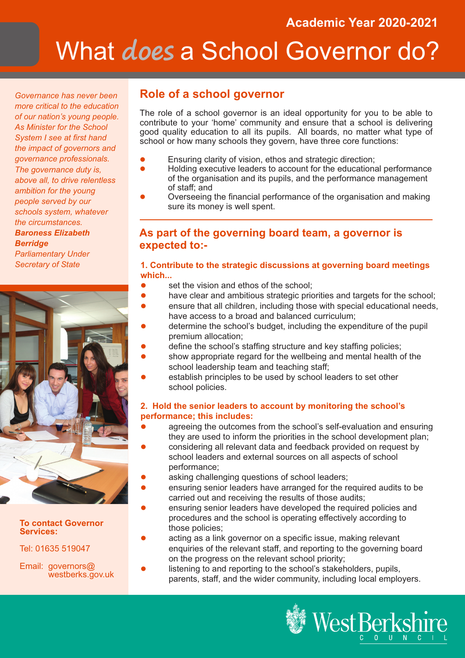# What **does** a School Governor do?

*Governance has never been more critical to the education of our nation's young people. As Minister for the School System I see at first hand the impact of governors and governance professionals. The governance duty is, above all, to drive relentless ambition for the young people served by our schools system, whatever the circumstances. Baroness Elizabeth* 

*Berridge Parliamentary Under* 



### **To contact Governor Services:**

## Tel: 01635 519047

Email: governors@ westberks.gov.uk

# **Role of a school governor**

The role of a school governor is an ideal opportunity for you to be able to contribute to your 'home' community and ensure that a school is delivering good quality education to all its pupils. All boards, no matter what type of school or how many schools they govern, have three core functions:

- Ensuring clarity of vision, ethos and strategic direction;
- Holding executive leaders to account for the educational performance of the organisation and its pupils, and the performance management of staff; and
- Overseeing the financial performance of the organisation and making sure its money is well spent.

## **As part of the governing board team, a governor is expected to:-**

## *Secretary of State* **1. Contribute to the strategic discussions at governing board meetings which...**

- set the vision and ethos of the school:
- have clear and ambitious strategic priorities and targets for the school;
- ensure that all children, including those with special educational needs, have access to a broad and balanced curriculum;
- determine the school's budget, including the expenditure of the pupil premium allocation;
- define the school's staffing structure and key staffing policies;
- show appropriate regard for the wellbeing and mental health of the school leadership team and teaching staff;
- establish principles to be used by school leaders to set other school policies.

## **2. Hold the senior leaders to account by monitoring the school's performance; this includes:**

- agreeing the outcomes from the school's self-evaluation and ensuring they are used to inform the priorities in the school development plan;
	- considering all relevant data and feedback provided on request by school leaders and external sources on all aspects of school performance;
	- asking challenging questions of school leaders;
	- ensuring senior leaders have arranged for the required audits to be carried out and receiving the results of those audits;
- ensuring senior leaders have developed the required policies and procedures and the school is operating effectively according to those policies;
- acting as a link governor on a specific issue, making relevant enquiries of the relevant staff, and reporting to the governing board on the progress on the relevant school priority;
- listening to and reporting to the school's stakeholders, pupils, parents, staff, and the wider community, including local employers.